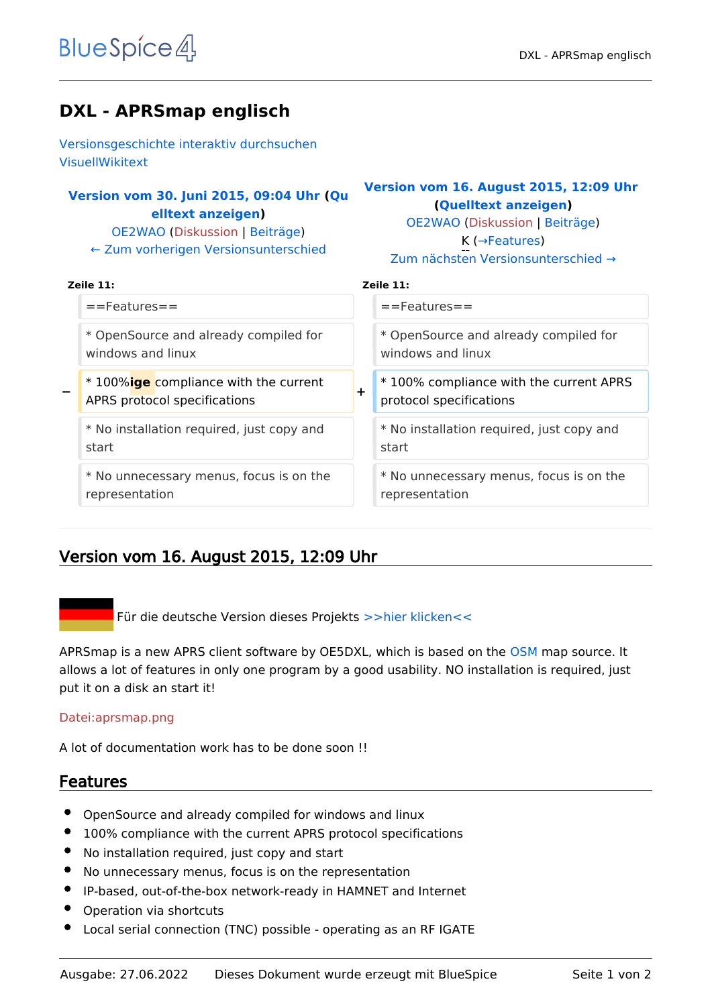# **DXL - APRSmap englisch**

[Versionsgeschichte interaktiv durchsuchen](https://wiki.oevsv.at) [VisuellWikitext](https://wiki.oevsv.at)

# **[Version vom 30. Juni 2015, 09:04 Uhr](https://wiki.oevsv.at/w/index.php?title=DXL_-_APRSmap_englisch&oldid=13671) ([Qu](https://wiki.oevsv.at/w/index.php?title=DXL_-_APRSmap_englisch&action=edit&oldid=13671) [elltext anzeigen\)](https://wiki.oevsv.at/w/index.php?title=DXL_-_APRSmap_englisch&action=edit&oldid=13671)**

[OE2WAO](https://wiki.oevsv.at/wiki/Benutzer:OE2WAO) ([Diskussion](https://wiki.oevsv.at/w/index.php?title=Benutzer_Diskussion:OE2WAO&action=view) | [Beiträge](https://wiki.oevsv.at/wiki/Spezial:Beitr%C3%A4ge/OE2WAO)) [← Zum vorherigen Versionsunterschied](https://wiki.oevsv.at/w/index.php?title=DXL_-_APRSmap_englisch&diff=prev&oldid=13671)

### **[Version vom 16. August 2015, 12:09 Uhr](https://wiki.oevsv.at/w/index.php?title=DXL_-_APRSmap_englisch&oldid=13728) ([Quelltext anzeigen](https://wiki.oevsv.at/w/index.php?title=DXL_-_APRSmap_englisch&action=edit&oldid=13728))**

[OE2WAO](https://wiki.oevsv.at/wiki/Benutzer:OE2WAO) [\(Diskussion](https://wiki.oevsv.at/w/index.php?title=Benutzer_Diskussion:OE2WAO&action=view) | [Beiträge\)](https://wiki.oevsv.at/wiki/Spezial:Beitr%C3%A4ge/OE2WAO) K (→Features)

| Zum nächsten Versionsunterschied $\rightarrow$ |
|------------------------------------------------|
|                                                |

| ł<br>ш<br>o<br>m<br>×<br>۰.<br>۰. |  |
|-----------------------------------|--|
|-----------------------------------|--|

| Zeile 11:                                     | Zeile 11:                                 |  |
|-----------------------------------------------|-------------------------------------------|--|
| $=$ Features $=$                              | $=$ Features $=$                          |  |
| * OpenSource and already compiled for         | * OpenSource and already compiled for     |  |
| windows and linux                             | windows and linux                         |  |
| * 100% <b>ige</b> compliance with the current | *100% compliance with the current APRS    |  |
| $\overline{\phantom{0}}$                      | $\div$                                    |  |
| APRS protocol specifications                  | protocol specifications                   |  |
| * No installation required, just copy and     | * No installation required, just copy and |  |
| start                                         | start                                     |  |
| * No unnecessary menus, focus is on the       | * No unnecessary menus, focus is on the   |  |
| representation                                | representation                            |  |

# Version vom 16. August 2015, 12:09 Uhr

Für die deutsche Version dieses Projekts [>>hier klicken<<](https://wiki.oevsv.at/wiki/DXL_-_APRSmap)

APRSmap is a new APRS client software by OE5DXL, which is based on the [OSM](http://www.osm.org) map source. It allows a lot of features in only one program by a good usability. NO installation is required, just put it on a disk an start it!

#### [Datei:aprsmap.png](https://wiki.oevsv.at/w/index.php?title=Spezial:Hochladen&wpDestFile=aprsmap.png)

A lot of documentation work has to be done soon !!

# Features

- OpenSource and already compiled for windows and linux
- 100% compliance with the current APRS protocol specifications
- No installation required, just copy and start
- No unnecessary menus, focus is on the representation
- IP-based, out-of-the-box network-ready in HAMNET and Internet
- Operation via shortcuts
- Local serial connection (TNC) possible operating as an RF IGATE